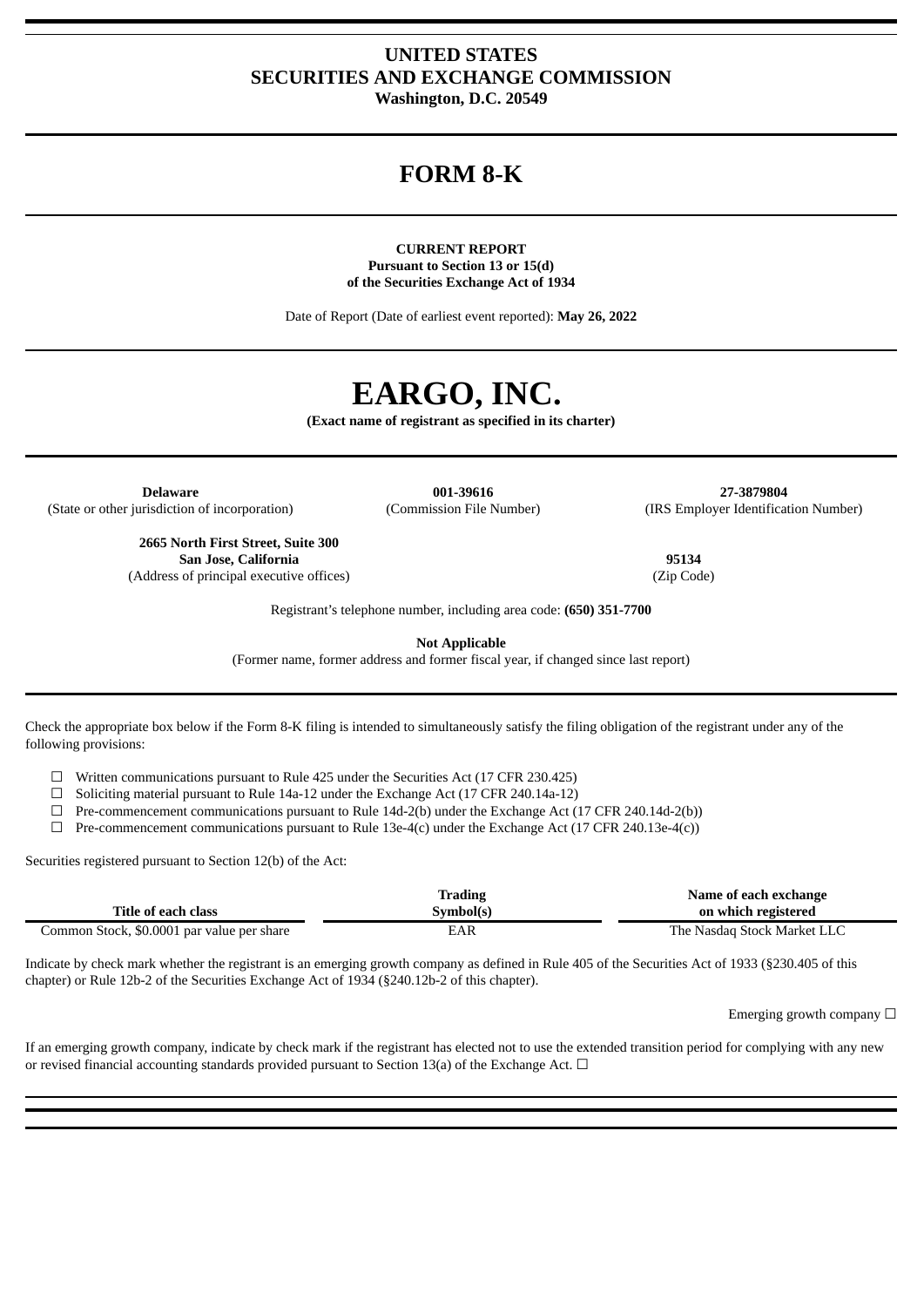# **UNITED STATES SECURITIES AND EXCHANGE COMMISSION Washington, D.C. 20549**

# **FORM 8-K**

## **CURRENT REPORT Pursuant to Section 13 or 15(d) of the Securities Exchange Act of 1934**

Date of Report (Date of earliest event reported): **May 26, 2022**

# **EARGO, INC.**

**(Exact name of registrant as specified in its charter)**

**Delaware 001-39616 27-3879804** (State or other jurisdiction of incorporation) (Commission File Number) (IRS Employer Identification Number)

Registrant's telephone number, including area code: **(650) 351-7700**

**Not Applicable**

(Former name, former address and former fiscal year, if changed since last report)

Check the appropriate box below if the Form 8-K filing is intended to simultaneously satisfy the filing obligation of the registrant under any of the following provisions:

☐ Written communications pursuant to Rule 425 under the Securities Act (17 CFR 230.425)

☐ Soliciting material pursuant to Rule 14a-12 under the Exchange Act (17 CFR 240.14a-12)

 $\Box$  Pre-commencement communications pursuant to Rule 14d-2(b) under the Exchange Act (17 CFR 240.14d-2(b))

 $\Box$  Pre-commencement communications pursuant to Rule 13e-4(c) under the Exchange Act (17 CFR 240.13e-4(c))

Securities registered pursuant to Section 12(b) of the Act:

|                                            | Trading   | Name of each exchange       |
|--------------------------------------------|-----------|-----------------------------|
| Title of each class                        | Symbol(s) | on which registered         |
| Common Stock, \$0.0001 par value per share | EAR       | The Nasdag Stock Market LLC |

Indicate by check mark whether the registrant is an emerging growth company as defined in Rule 405 of the Securities Act of 1933 (§230.405 of this chapter) or Rule 12b-2 of the Securities Exchange Act of 1934 (§240.12b-2 of this chapter).

Emerging growth company  $\Box$ 

If an emerging growth company, indicate by check mark if the registrant has elected not to use the extended transition period for complying with any new or revised financial accounting standards provided pursuant to Section 13(a) of the Exchange Act.  $\Box$ 

**2665 North First Street, Suite 300**

(Address of principal executive offices)

**San Jose, California 95134**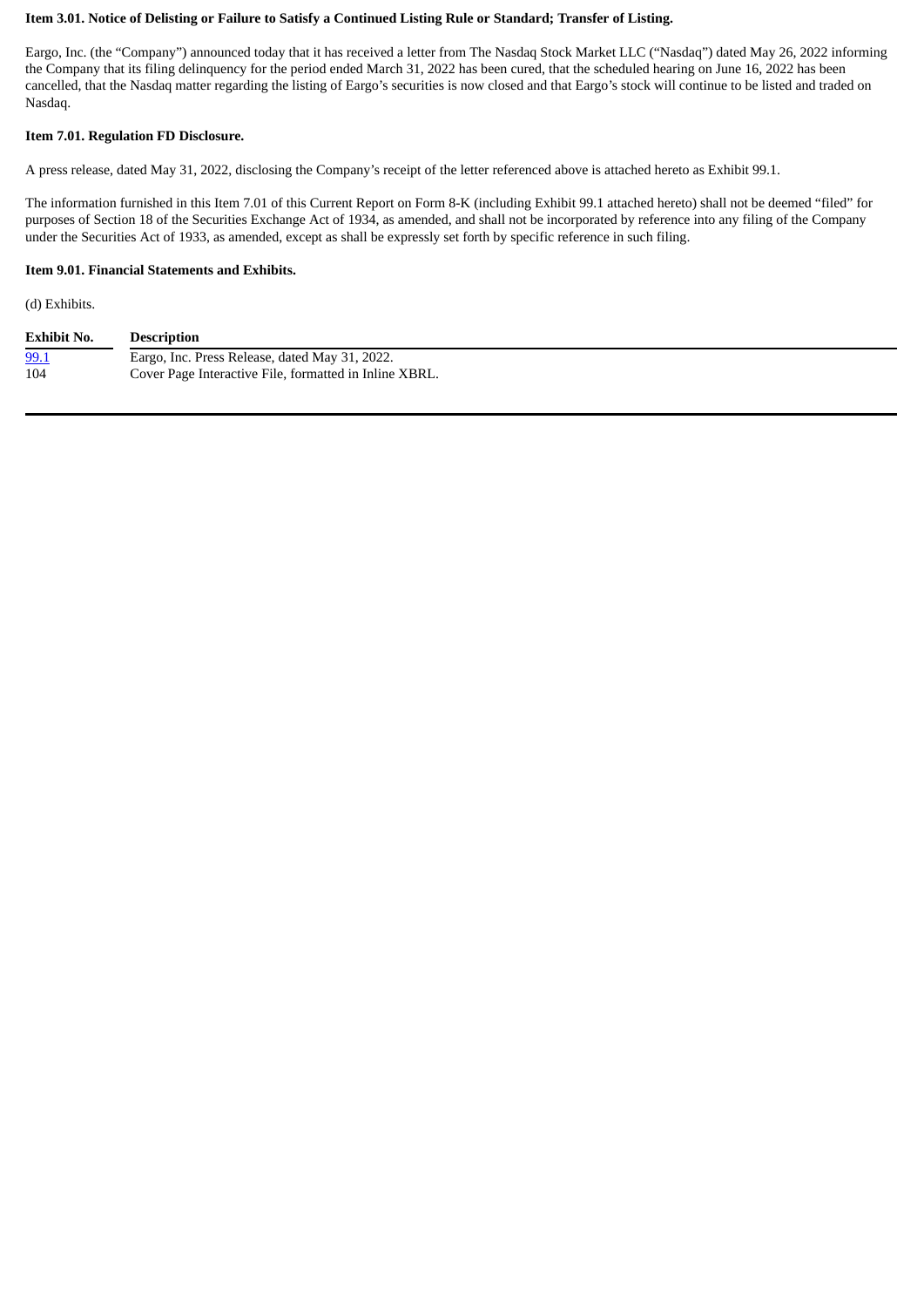## Item 3.01. Notice of Delisting or Failure to Satisfy a Continued Listing Rule or Standard; Transfer of Listing.

Eargo, Inc. (the "Company") announced today that it has received a letter from The Nasdaq Stock Market LLC ("Nasdaq") dated May 26, 2022 informing the Company that its filing delinquency for the period ended March 31, 2022 has been cured, that the scheduled hearing on June 16, 2022 has been cancelled, that the Nasdaq matter regarding the listing of Eargo's securities is now closed and that Eargo's stock will continue to be listed and traded on Nasdaq.

#### **Item 7.01. Regulation FD Disclosure.**

A press release, dated May 31, 2022, disclosing the Company's receipt of the letter referenced above is attached hereto as Exhibit 99.1.

The information furnished in this Item 7.01 of this Current Report on Form 8-K (including Exhibit 99.1 attached hereto) shall not be deemed "filed" for purposes of Section 18 of the Securities Exchange Act of 1934, as amended, and shall not be incorporated by reference into any filing of the Company under the Securities Act of 1933, as amended, except as shall be expressly set forth by specific reference in such filing.

#### **Item 9.01. Financial Statements and Exhibits.**

(d) Exhibits.

| <b>Exhibit No.</b> | <b>Description</b>                                     |
|--------------------|--------------------------------------------------------|
| <u>99.1</u>        | Eargo, Inc. Press Release, dated May 31, 2022.         |
| 104                | Cover Page Interactive File, formatted in Inline XBRL. |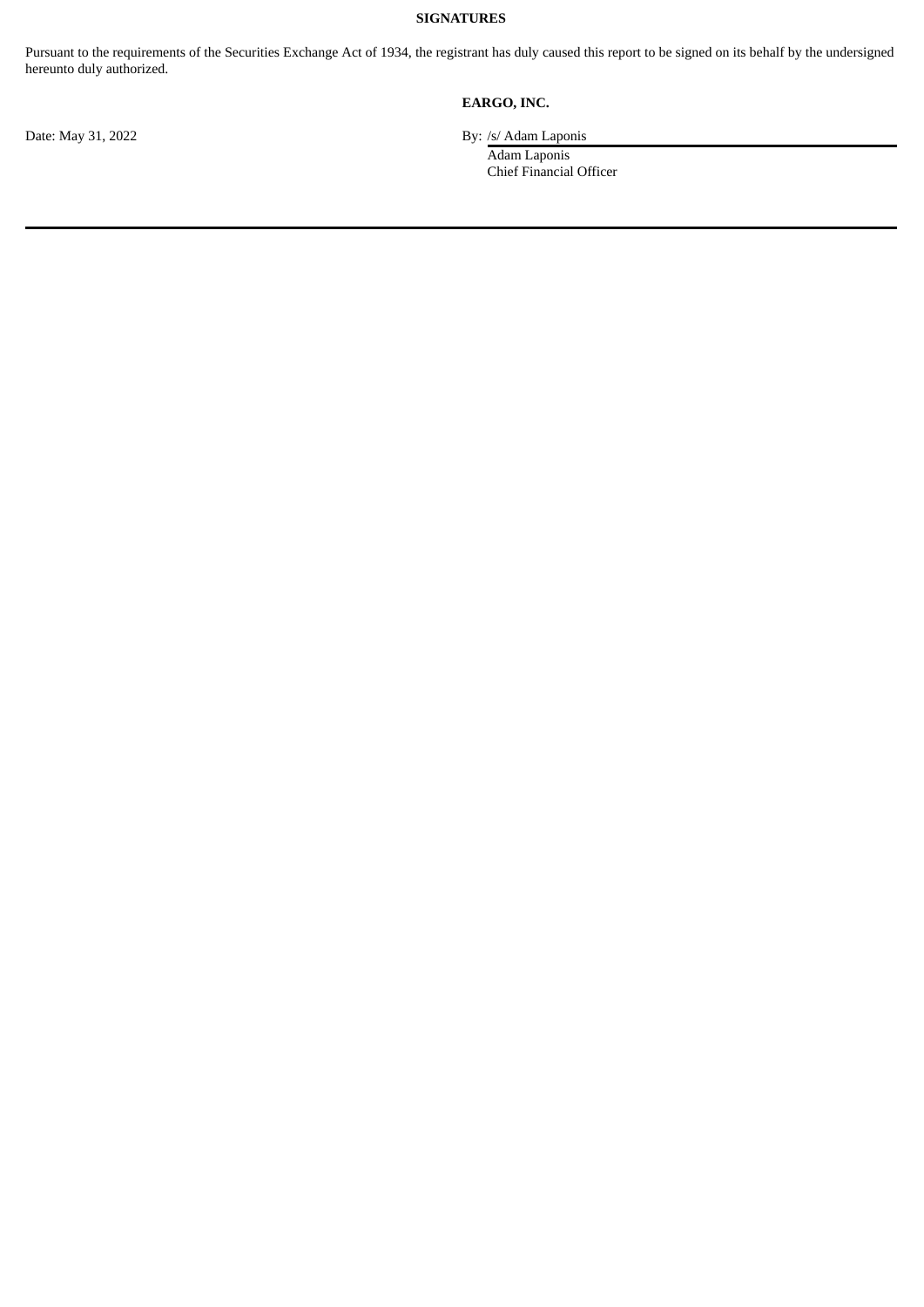# **SIGNATURES**

Pursuant to the requirements of the Securities Exchange Act of 1934, the registrant has duly caused this report to be signed on its behalf by the undersigned hereunto duly authorized.

# **EARGO, INC.**

Date: May 31, 2022 By: /s/ Adam Laponis

Adam Laponis Chief Financial Officer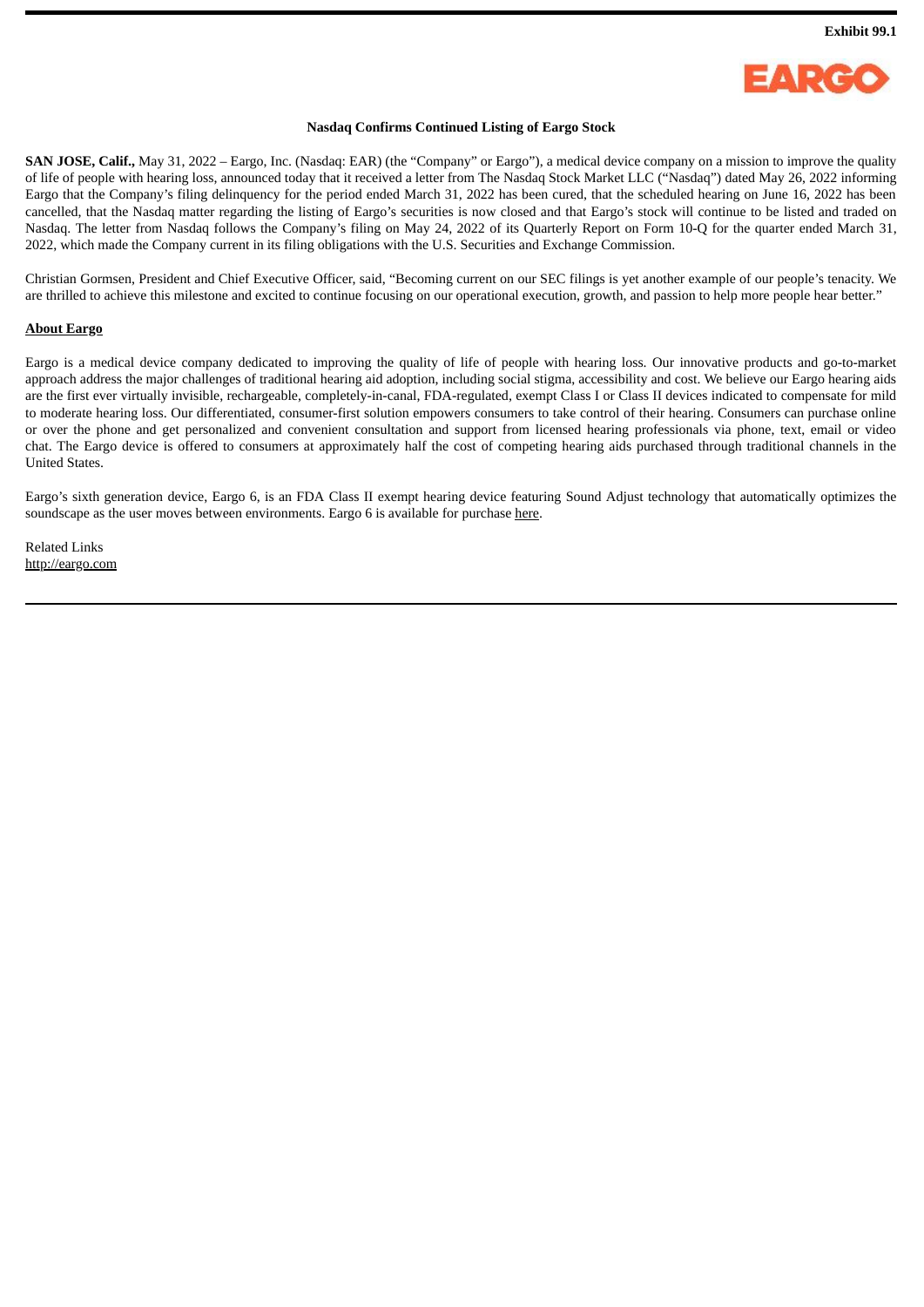

#### **Nasdaq Confirms Continued Listing of Eargo Stock**

<span id="page-3-0"></span>**SAN JOSE, Calif.,** May 31, 2022 – Eargo, Inc. (Nasdaq: EAR) (the "Company" or Eargo"), a medical device company on a mission to improve the quality of life of people with hearing loss, announced today that it received a letter from The Nasdaq Stock Market LLC ("Nasdaq") dated May 26, 2022 informing Eargo that the Company's filing delinquency for the period ended March 31, 2022 has been cured, that the scheduled hearing on June 16, 2022 has been cancelled, that the Nasdaq matter regarding the listing of Eargo's securities is now closed and that Eargo's stock will continue to be listed and traded on Nasdaq. The letter from Nasdaq follows the Company's filing on May 24, 2022 of its Quarterly Report on Form 10-Q for the quarter ended March 31, 2022, which made the Company current in its filing obligations with the U.S. Securities and Exchange Commission.

Christian Gormsen, President and Chief Executive Officer, said, "Becoming current on our SEC filings is yet another example of our people's tenacity. We are thrilled to achieve this milestone and excited to continue focusing on our operational execution, growth, and passion to help more people hear better."

#### **About Eargo**

Eargo is a medical device company dedicated to improving the quality of life of people with hearing loss. Our innovative products and go-to-market approach address the major challenges of traditional hearing aid adoption, including social stigma, accessibility and cost. We believe our Eargo hearing aids are the first ever virtually invisible, rechargeable, completely-in-canal, FDA-regulated, exempt Class I or Class II devices indicated to compensate for mild to moderate hearing loss. Our differentiated, consumer-first solution empowers consumers to take control of their hearing. Consumers can purchase online or over the phone and get personalized and convenient consultation and support from licensed hearing professionals via phone, text, email or video chat. The Eargo device is offered to consumers at approximately half the cost of competing hearing aids purchased through traditional channels in the United States.

Eargo's sixth generation device, Eargo 6, is an FDA Class II exempt hearing device featuring Sound Adjust technology that automatically optimizes the soundscape as the user moves between environments. Eargo 6 is available for purchase here.

Related Links http://eargo.com